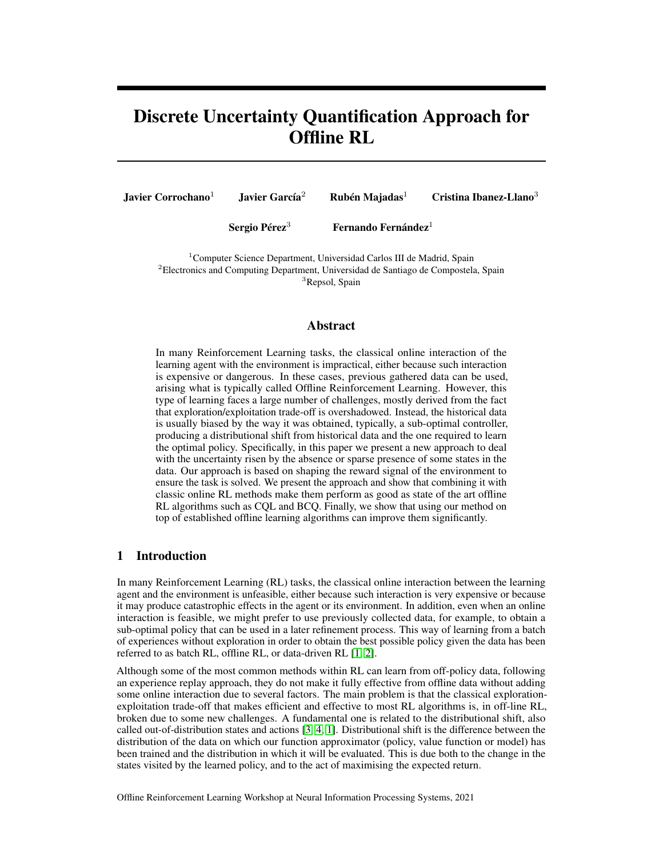# Discrete Uncertainty Quantification Approach for Offline RL

Javier Corrochano<sup>1</sup> Javier García<sup>2</sup> Rubén Majadas<sup>1</sup> Cristina Ibanez-Llano<sup>3</sup>

Sergio Pérez<sup>3</sup> Fernando Fernández<sup>1</sup>

<sup>1</sup> Computer Science Department, Universidad Carlos III de Madrid, Spain  ${}^{2}$ Electronics and Computing Department, Universidad de Santiago de Compostela, Spain <sup>3</sup>Repsol, Spain

## Abstract

In many Reinforcement Learning tasks, the classical online interaction of the learning agent with the environment is impractical, either because such interaction is expensive or dangerous. In these cases, previous gathered data can be used, arising what is typically called Offline Reinforcement Learning. However, this type of learning faces a large number of challenges, mostly derived from the fact that exploration/exploitation trade-off is overshadowed. Instead, the historical data is usually biased by the way it was obtained, typically, a sub-optimal controller, producing a distributional shift from historical data and the one required to learn the optimal policy. Specifically, in this paper we present a new approach to deal with the uncertainty risen by the absence or sparse presence of some states in the data. Our approach is based on shaping the reward signal of the environment to ensure the task is solved. We present the approach and show that combining it with classic online RL methods make them perform as good as state of the art offline RL algorithms such as CQL and BCQ. Finally, we show that using our method on top of established offline learning algorithms can improve them significantly.

# 1 Introduction

In many Reinforcement Learning (RL) tasks, the classical online interaction between the learning agent and the environment is unfeasible, either because such interaction is very expensive or because it may produce catastrophic effects in the agent or its environment. In addition, even when an online interaction is feasible, we might prefer to use previously collected data, for example, to obtain a sub-optimal policy that can be used in a later refinement process. This way of learning from a batch of experiences without exploration in order to obtain the best possible policy given the data has been referred to as batch RL, offline RL, or data-driven RL [\[1,](#page-7-0) [2\]](#page-7-1).

Although some of the most common methods within RL can learn from off-policy data, following an experience replay approach, they do not make it fully effective from offline data without adding some online interaction due to several factors. The main problem is that the classical explorationexploitation trade-off that makes efficient and effective to most RL algorithms is, in off-line RL, broken due to some new challenges. A fundamental one is related to the distributional shift, also called out-of-distribution states and actions [\[3,](#page-7-2) [4,](#page-7-3) [1\]](#page-7-0). Distributional shift is the difference between the distribution of the data on which our function approximator (policy, value function or model) has been trained and the distribution in which it will be evaluated. This is due both to the change in the states visited by the learned policy, and to the act of maximising the expected return.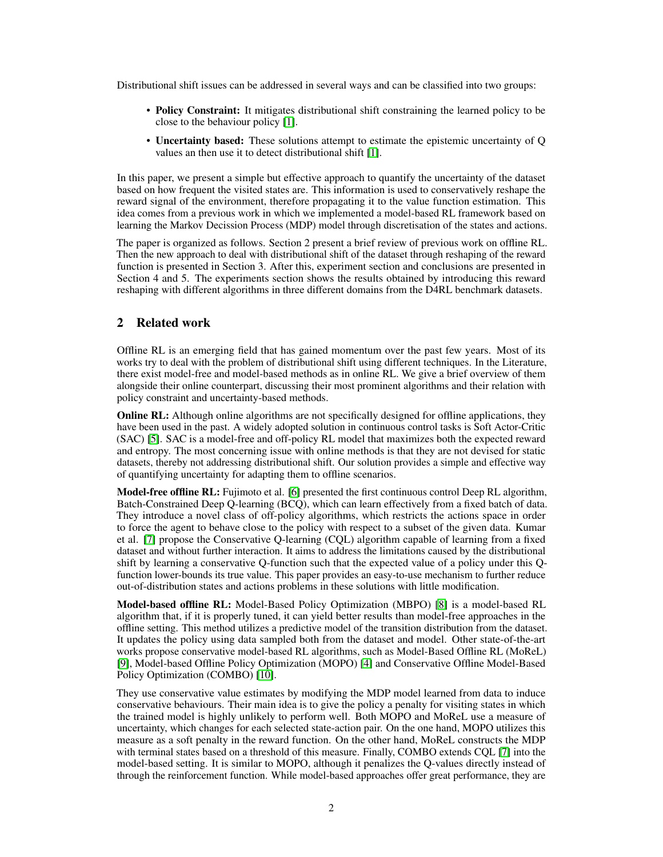Distributional shift issues can be addressed in several ways and can be classified into two groups:

- Policy Constraint: It mitigates distributional shift constraining the learned policy to be close to the behaviour policy [\[1\]](#page-7-0).
- Uncertainty based: These solutions attempt to estimate the epistemic uncertainty of Q values an then use it to detect distributional shift [\[1\]](#page-7-0).

In this paper, we present a simple but effective approach to quantify the uncertainty of the dataset based on how frequent the visited states are. This information is used to conservatively reshape the reward signal of the environment, therefore propagating it to the value function estimation. This idea comes from a previous work in which we implemented a model-based RL framework based on learning the Markov Decission Process (MDP) model through discretisation of the states and actions.

The paper is organized as follows. Section 2 present a brief review of previous work on offline RL. Then the new approach to deal with distributional shift of the dataset through reshaping of the reward function is presented in Section 3. After this, experiment section and conclusions are presented in Section 4 and 5. The experiments section shows the results obtained by introducing this reward reshaping with different algorithms in three different domains from the D4RL benchmark datasets.

## 2 Related work

Offline RL is an emerging field that has gained momentum over the past few years. Most of its works try to deal with the problem of distributional shift using different techniques. In the Literature, there exist model-free and model-based methods as in online RL. We give a brief overview of them alongside their online counterpart, discussing their most prominent algorithms and their relation with policy constraint and uncertainty-based methods.

**Online RL:** Although online algorithms are not specifically designed for offline applications, they have been used in the past. A widely adopted solution in continuous control tasks is Soft Actor-Critic (SAC) [\[5\]](#page-7-4). SAC is a model-free and off-policy RL model that maximizes both the expected reward and entropy. The most concerning issue with online methods is that they are not devised for static datasets, thereby not addressing distributional shift. Our solution provides a simple and effective way of quantifying uncertainty for adapting them to offline scenarios.

Model-free offline RL: Fujimoto et al. [\[6\]](#page-7-5) presented the first continuous control Deep RL algorithm, Batch-Constrained Deep Q-learning (BCQ), which can learn effectively from a fixed batch of data. They introduce a novel class of off-policy algorithms, which restricts the actions space in order to force the agent to behave close to the policy with respect to a subset of the given data. Kumar et al. [\[7\]](#page-7-6) propose the Conservative Q-learning (CQL) algorithm capable of learning from a fixed dataset and without further interaction. It aims to address the limitations caused by the distributional shift by learning a conservative Q-function such that the expected value of a policy under this Qfunction lower-bounds its true value. This paper provides an easy-to-use mechanism to further reduce out-of-distribution states and actions problems in these solutions with little modification.

Model-based offline RL: Model-Based Policy Optimization (MBPO) [\[8\]](#page-7-7) is a model-based RL algorithm that, if it is properly tuned, it can yield better results than model-free approaches in the offline setting. This method utilizes a predictive model of the transition distribution from the dataset. It updates the policy using data sampled both from the dataset and model. Other state-of-the-art works propose conservative model-based RL algorithms, such as Model-Based Offline RL (MoReL) [\[9\]](#page-7-8), Model-based Offline Policy Optimization (MOPO) [\[4\]](#page-7-3) and Conservative Offline Model-Based Policy Optimization (COMBO) [\[10\]](#page-7-9).

They use conservative value estimates by modifying the MDP model learned from data to induce conservative behaviours. Their main idea is to give the policy a penalty for visiting states in which the trained model is highly unlikely to perform well. Both MOPO and MoReL use a measure of uncertainty, which changes for each selected state-action pair. On the one hand, MOPO utilizes this measure as a soft penalty in the reward function. On the other hand, MoReL constructs the MDP with terminal states based on a threshold of this measure. Finally, COMBO extends CQL [\[7\]](#page-7-6) into the model-based setting. It is similar to MOPO, although it penalizes the Q-values directly instead of through the reinforcement function. While model-based approaches offer great performance, they are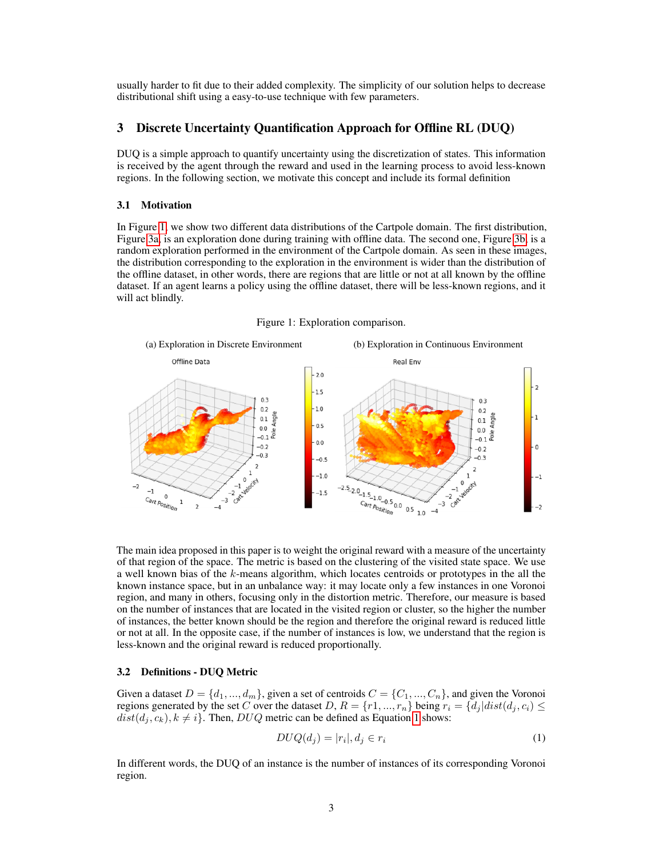usually harder to fit due to their added complexity. The simplicity of our solution helps to decrease distributional shift using a easy-to-use technique with few parameters.

## 3 Discrete Uncertainty Quantification Approach for Offline RL (DUQ)

DUQ is a simple approach to quantify uncertainty using the discretization of states. This information is received by the agent through the reward and used in the learning process to avoid less-known regions. In the following section, we motivate this concept and include its formal definition

#### 3.1 Motivation

In Figure [1,](#page-2-0) we show two different data distributions of the Cartpole domain. The first distribution, Figure [3a,](#page-6-0) is an exploration done during training with offline data. The second one, Figure [3b,](#page-6-1) is a random exploration performed in the environment of the Cartpole domain. As seen in these images, the distribution corresponding to the exploration in the environment is wider than the distribution of the offline dataset, in other words, there are regions that are little or not at all known by the offline dataset. If an agent learns a policy using the offline dataset, there will be less-known regions, and it will act blindly.

Figure 1: Exploration comparison.

<span id="page-2-0"></span>

The main idea proposed in this paper is to weight the original reward with a measure of the uncertainty of that region of the space. The metric is based on the clustering of the visited state space. We use a well known bias of the  $k$ -means algorithm, which locates centroids or prototypes in the all the known instance space, but in an unbalance way: it may locate only a few instances in one Voronoi region, and many in others, focusing only in the distortion metric. Therefore, our measure is based on the number of instances that are located in the visited region or cluster, so the higher the number of instances, the better known should be the region and therefore the original reward is reduced little or not at all. In the opposite case, if the number of instances is low, we understand that the region is less-known and the original reward is reduced proportionally.

## 3.2 Definitions - DUQ Metric

Given a dataset  $D = \{d_1, ..., d_m\}$ , given a set of centroids  $C = \{C_1, ..., C_n\}$ , and given the Voronoi regions generated by the set C over the dataset D,  $R = \{r1, ..., r_n\}$  being  $r_i = \{d_j | dist(d_j, c_i) \leq$  $dist(d_j, c_k), k \neq i$ . Then, DUQ metric can be defined as Equation [1](#page-2-1) shows:

<span id="page-2-1"></span>
$$
DUQ(d_j) = |r_i|, d_j \in r_i \tag{1}
$$

In different words, the DUQ of an instance is the number of instances of its corresponding Voronoi region.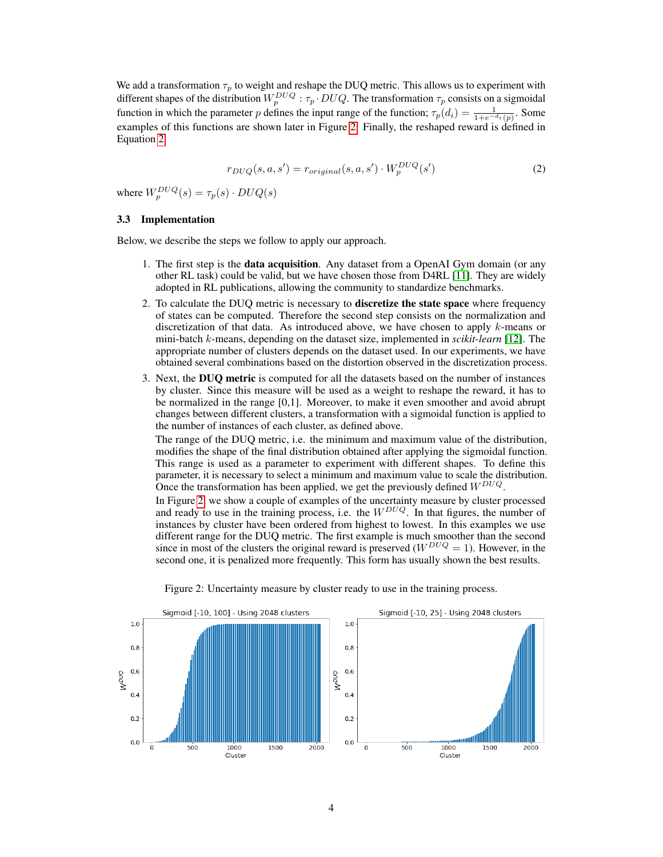We add a transformation  $\tau_p$  to weight and reshape the DUQ metric. This allows us to experiment with different shapes of the distribution  $W_p^{DUQ}$  :  $\tau_p \cdot D U Q$ . The transformation  $\tau_p$  consists on a sigmoidal function in which the parameter p defines the input range of the function;  $\tau_p(d_i) = \frac{1}{1 + e^{-d_i}(p)}$ . Some examples of this functions are shown later in Figure [2.](#page-3-0) Finally, the reshaped reward is defined in Equation [2.](#page-3-1)

<span id="page-3-1"></span>
$$
r_{DUQ}(s, a, s') = r_{original}(s, a, s') \cdot W_p^{DUQ}(s')
$$
\n<sup>(2)</sup>

where  $W_p^{DUQ}(s) = \tau_p(s) \cdot DUQ(s)$ 

## 3.3 Implementation

Below, we describe the steps we follow to apply our approach.

- 1. The first step is the data acquisition. Any dataset from a OpenAI Gym domain (or any other RL task) could be valid, but we have chosen those from D4RL [\[11\]](#page-7-10). They are widely adopted in RL publications, allowing the community to standardize benchmarks.
- 2. To calculate the DUQ metric is necessary to discretize the state space where frequency of states can be computed. Therefore the second step consists on the normalization and discretization of that data. As introduced above, we have chosen to apply  $k$ -means or mini-batch k-means, depending on the dataset size, implemented in *scikit-learn* [\[12\]](#page-7-11). The appropriate number of clusters depends on the dataset used. In our experiments, we have obtained several combinations based on the distortion observed in the discretization process.
- 3. Next, the DUQ metric is computed for all the datasets based on the number of instances by cluster. Since this measure will be used as a weight to reshape the reward, it has to be normalized in the range [0,1]. Moreover, to make it even smoother and avoid abrupt changes between different clusters, a transformation with a sigmoidal function is applied to the number of instances of each cluster, as defined above.

The range of the DUQ metric, i.e. the minimum and maximum value of the distribution, modifies the shape of the final distribution obtained after applying the sigmoidal function. This range is used as a parameter to experiment with different shapes. To define this parameter, it is necessary to select a minimum and maximum value to scale the distribution. Once the transformation has been applied, we get the previously defined  $W^{DUQ}$ .

In Figure [2,](#page-3-0) we show a couple of examples of the uncertainty measure by cluster processed and ready to use in the training process, i.e. the  $W^{DUQ}$ . In that figures, the number of instances by cluster have been ordered from highest to lowest. In this examples we use different range for the DUQ metric. The first example is much smoother than the second since in most of the clusters the original reward is preserved  $(W^{DUQ} = 1)$ . However, in the second one, it is penalized more frequently. This form has usually shown the best results.

<span id="page-3-0"></span>

#### Figure 2: Uncertainty measure by cluster ready to use in the training process.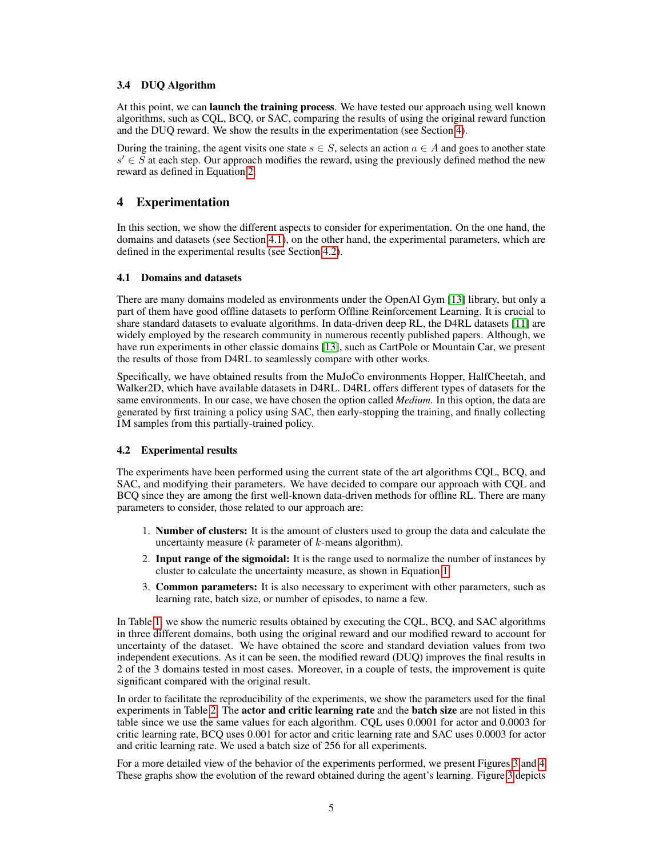## 3.4 DUQ Algorithm

At this point, we can launch the training process. We have tested our approach using well known algorithms, such as CQL, BCQ, or SAC, comparing the results of using the original reward function and the DUQ reward. We show the results in the experimentation (see Section [4\)](#page-4-0).

During the training, the agent visits one state  $s \in S$ , selects an action  $a \in A$  and goes to another state  $s' \in \tilde{S}$  at each step. Our approach modifies the reward, using the previously defined method the new reward as defined in Equation [2.](#page-3-1)

# <span id="page-4-0"></span>4 Experimentation

In this section, we show the different aspects to consider for experimentation. On the one hand, the domains and datasets (see Section [4.1\)](#page-4-1), on the other hand, the experimental parameters, which are defined in the experimental results (see Section [4.2\)](#page-4-2).

## <span id="page-4-1"></span>4.1 Domains and datasets

There are many domains modeled as environments under the OpenAI Gym [\[13\]](#page-7-12) library, but only a part of them have good offline datasets to perform Offline Reinforcement Learning. It is crucial to share standard datasets to evaluate algorithms. In data-driven deep RL, the D4RL datasets [\[11\]](#page-7-10) are widely employed by the research community in numerous recently published papers. Although, we have run experiments in other classic domains [\[13\]](#page-7-12), such as CartPole or Mountain Car, we present the results of those from D4RL to seamlessly compare with other works.

Specifically, we have obtained results from the MuJoCo environments Hopper, HalfCheetah, and Walker2D, which have available datasets in D4RL. D4RL offers different types of datasets for the same environments. In our case, we have chosen the option called *Medium*. In this option, the data are generated by first training a policy using SAC, then early-stopping the training, and finally collecting 1M samples from this partially-trained policy.

## <span id="page-4-2"></span>4.2 Experimental results

The experiments have been performed using the current state of the art algorithms CQL, BCQ, and SAC, and modifying their parameters. We have decided to compare our approach with CQL and BCQ since they are among the first well-known data-driven methods for offline RL. There are many parameters to consider, those related to our approach are:

- 1. Number of clusters: It is the amount of clusters used to group the data and calculate the uncertainty measure  $(k$  parameter of  $k$ -means algorithm).
- 2. Input range of the sigmoidal: It is the range used to normalize the number of instances by cluster to calculate the uncertainty measure, as shown in Equation [1.](#page-2-1)
- 3. Common parameters: It is also necessary to experiment with other parameters, such as learning rate, batch size, or number of episodes, to name a few.

In Table [1,](#page-5-0) we show the numeric results obtained by executing the CQL, BCQ, and SAC algorithms in three different domains, both using the original reward and our modified reward to account for uncertainty of the dataset. We have obtained the score and standard deviation values from two independent executions. As it can be seen, the modified reward (DUQ) improves the final results in 2 of the 3 domains tested in most cases. Moreover, in a couple of tests, the improvement is quite significant compared with the original result.

In order to facilitate the reproducibility of the experiments, we show the parameters used for the final experiments in Table [2.](#page-5-1) The **actor and critic learning rate** and the **batch size** are not listed in this table since we use the same values for each algorithm. CQL uses 0.0001 for actor and 0.0003 for critic learning rate, BCQ uses 0.001 for actor and critic learning rate and SAC uses 0.0003 for actor and critic learning rate. We used a batch size of 256 for all experiments.

For a more detailed view of the behavior of the experiments performed, we present Figures [3](#page-6-2) and [4.](#page-6-3) These graphs show the evolution of the reward obtained during the agent's learning. Figure [3](#page-6-2) depicts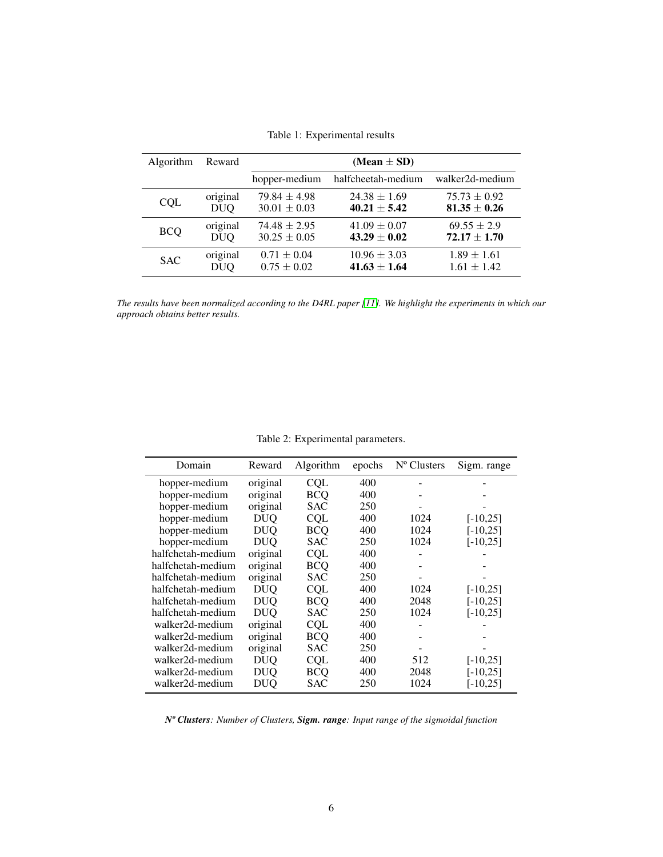<span id="page-5-0"></span>

| Algorithm  | Reward     | (Mean $\pm$ SD)  |                    |                  |  |  |  |
|------------|------------|------------------|--------------------|------------------|--|--|--|
|            |            | hopper-medium    | halfcheetah-medium | walker2d-medium  |  |  |  |
| <b>COL</b> | original   | $79.84 \pm 4.98$ | $24.38 \pm 1.69$   | $75.73 \pm 0.92$ |  |  |  |
|            | <b>DUQ</b> | $30.01 \pm 0.03$ | $40.21 \pm 5.42$   | $81.35 \pm 0.26$ |  |  |  |
| <b>BCQ</b> | original   | $74.48 \pm 2.95$ | $41.09 \pm 0.07$   | $69.55 \pm 2.9$  |  |  |  |
|            | <b>DUQ</b> | $30.25 \pm 0.05$ | $43.29 \pm 0.02$   | $72.17 \pm 1.70$ |  |  |  |
| <b>SAC</b> | original   | $0.71 \pm 0.04$  | $10.96 \pm 3.03$   | $1.89 \pm 1.61$  |  |  |  |
|            | <b>DUQ</b> | $0.75 \pm 0.02$  | $41.63 \pm 1.64$   | $1.61 \pm 1.42$  |  |  |  |

Table 1: Experimental results

*The results have been normalized according to the D4RL paper [\[11\]](#page-7-10). We highlight the experiments in which our approach obtains better results.*

Table 2: Experimental parameters.

<span id="page-5-1"></span>

| Domain            | Reward     | Algorithm  | epochs | N <sup>o</sup> Clusters | Sigm. range |
|-------------------|------------|------------|--------|-------------------------|-------------|
| hopper-medium     | original   | CQL        | 400    |                         |             |
| hopper-medium     | original   | <b>BCO</b> | 400    |                         |             |
| hopper-medium     | original   | <b>SAC</b> | 250    |                         |             |
| hopper-medium     | <b>DUO</b> | <b>CQL</b> | 400    | 1024                    | $[-10, 25]$ |
| hopper-medium     | <b>DUO</b> | <b>BCO</b> | 400    | 1024                    | $[-10, 25]$ |
| hopper-medium     | <b>DUQ</b> | <b>SAC</b> | 250    | 1024                    | $[-10, 25]$ |
| halfchetah-medium | original   | <b>CQL</b> | 400    |                         |             |
| halfchetah-medium | original   | <b>BCQ</b> | 400    |                         |             |
| halfchetah-medium | original   | SAC        | 250    |                         |             |
| halfchetah-medium | <b>DUO</b> | <b>CQL</b> | 400    | 1024                    | $[-10,25]$  |
| halfchetah-medium | <b>DUO</b> | <b>BCO</b> | 400    | 2048                    | $[-10, 25]$ |
| halfchetah-medium | <b>DUO</b> | <b>SAC</b> | 250    | 1024                    | $[-10, 25]$ |
| walker2d-medium   | original   | <b>CQL</b> | 400    |                         |             |
| walker2d-medium   | original   | <b>BCQ</b> | 400    |                         |             |
| walker2d-medium   | original   | SAC        | 250    |                         |             |
| walker2d-medium   | <b>DUQ</b> | <b>CQL</b> | 400    | 512                     | $[-10,25]$  |
| walker2d-medium   | DUO        | BCO        | 400    | 2048                    | $-10,251$   |
| walker2d-medium   | DUQ        | <b>SAC</b> | 250    | 1024                    | $-10,251$   |

*Nº Clusters: Number of Clusters, Sigm. range: Input range of the sigmoidal function*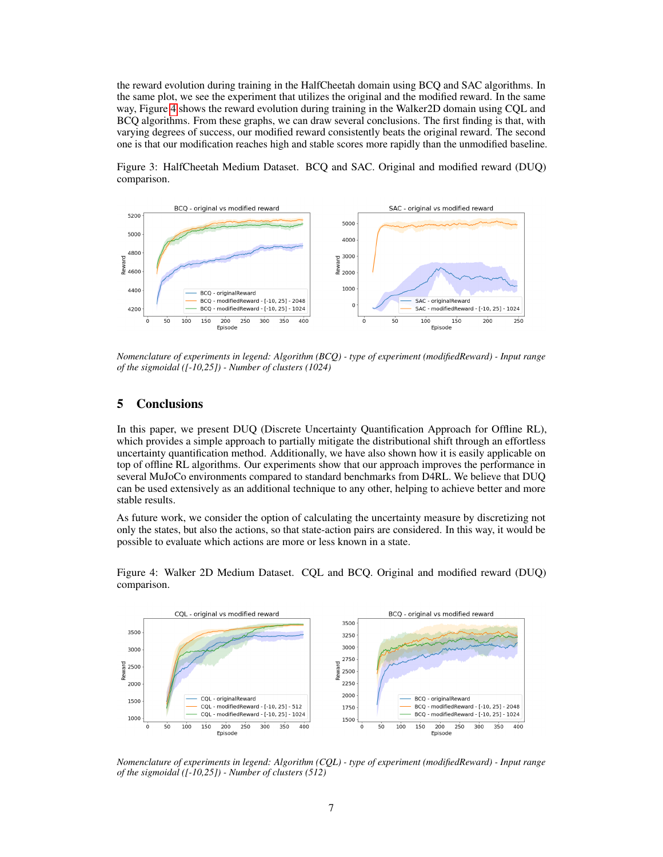the reward evolution during training in the HalfCheetah domain using BCQ and SAC algorithms. In the same plot, we see the experiment that utilizes the original and the modified reward. In the same way, Figure [4](#page-6-3) shows the reward evolution during training in the Walker2D domain using CQL and BCQ algorithms. From these graphs, we can draw several conclusions. The first finding is that, with varying degrees of success, our modified reward consistently beats the original reward. The second one is that our modification reaches high and stable scores more rapidly than the unmodified baseline.

Figure 3: HalfCheetah Medium Dataset. BCQ and SAC. Original and modified reward (DUQ) comparison.

<span id="page-6-2"></span>

*Nomenclature of experiments in legend: Algorithm (BCQ) - type of experiment (modifiedReward) - Input range of the sigmoidal ([-10,25]) - Number of clusters (1024)*

# 5 Conclusions

In this paper, we present DUQ (Discrete Uncertainty Quantification Approach for Offline RL), which provides a simple approach to partially mitigate the distributional shift through an effortless uncertainty quantification method. Additionally, we have also shown how it is easily applicable on top of offline RL algorithms. Our experiments show that our approach improves the performance in several MuJoCo environments compared to standard benchmarks from D4RL. We believe that DUQ can be used extensively as an additional technique to any other, helping to achieve better and more stable results.

As future work, we consider the option of calculating the uncertainty measure by discretizing not only the states, but also the actions, so that state-action pairs are considered. In this way, it would be possible to evaluate which actions are more or less known in a state.

<span id="page-6-3"></span><span id="page-6-1"></span><span id="page-6-0"></span>CQL - original vs modified reward BCQ - original vs modified reward 3500 3500 3250 3000 3000 2750 2500 2500 2250 2000 2000 CQL - originalReward BCQ - originalReward 1500 COL - modifiedReward - [-10, 25] - 512 BCQ - modifiedReward - [-10, 25] - 2048 1750 CQL - modifiedReward - [-10, 25] - 1024 BCQ - modifiedReward - [-10, 25] - 1024 1000 1500 150 300 350 400 150 200 250 300 350 400  $\circ$ 50 100 200 250  $\overline{0}$ 50 100 Episode Episode

Figure 4: Walker 2D Medium Dataset. CQL and BCQ. Original and modified reward (DUQ) comparison.

*Nomenclature of experiments in legend: Algorithm (CQL) - type of experiment (modifiedReward) - Input range of the sigmoidal ([-10,25]) - Number of clusters (512)*